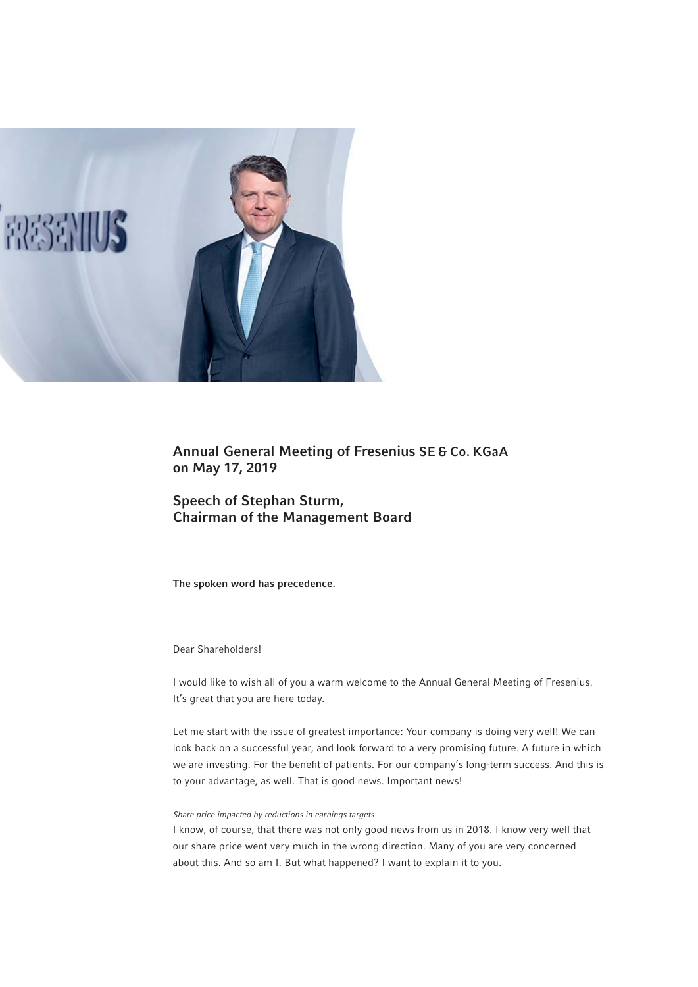

Annual General Meeting of Fresenius SE & Co. KGaA on May 17, 2019

Speech of Stephan Sturm, Chairman of the Management Board

The spoken word has precedence.

# Dear Shareholders!

I would like to wish all of you a warm welcome to the Annual General Meeting of Fresenius. It's great that you are here today.

Let me start with the issue of greatest importance: Your company is doing very well! We can look back on a successful year, and look forward to a very promising future. A future in which we are investing. For the benefit of patients. For our company's long-term success. And this is to your advantage, as well. That is good news. Important news!

## *Share price impacted by reductions in earnings targets*

I know, of course, that there was not only good news from us in 2018. I know very well that our share price went very much in the wrong direction. Many of you are very concerned about this. And so am I. But what happened? I want to explain it to you.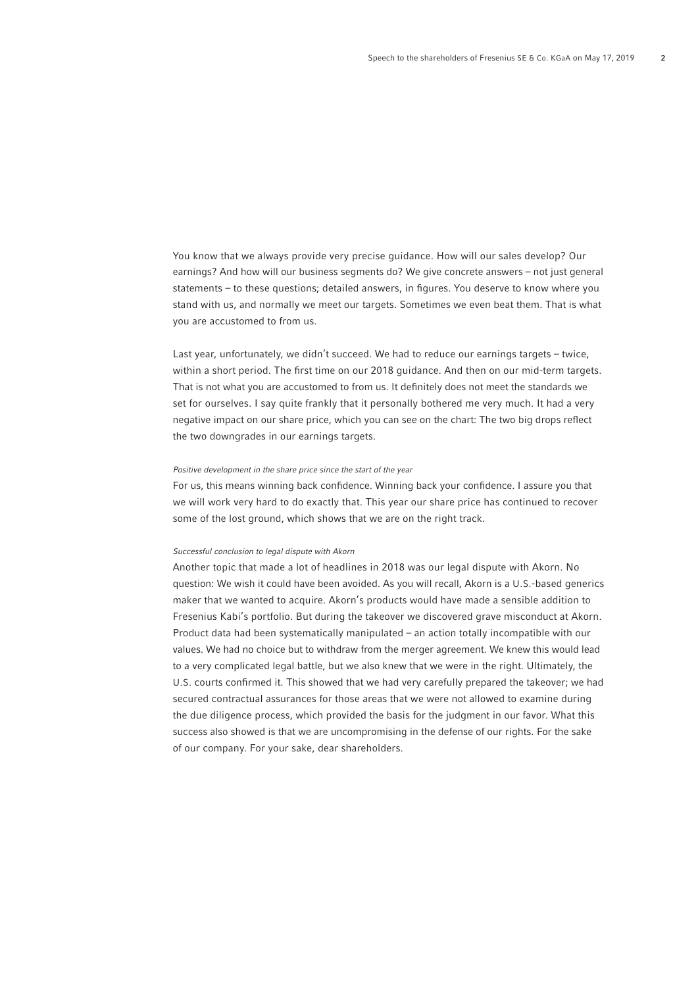You know that we always provide very precise guidance. How will our sales develop? Our earnings? And how will our business segments do? We give concrete answers – not just general statements – to these questions; detailed answers, in figures. You deserve to know where you stand with us, and normally we meet our targets. Sometimes we even beat them. That is what you are accustomed to from us.

Last year, unfortunately, we didn't succeed. We had to reduce our earnings targets – twice, within a short period. The first time on our 2018 quidance. And then on our mid-term targets. That is not what you are accustomed to from us. It definitely does not meet the standards we set for ourselves. I say quite frankly that it personally bothered me very much. It had a very negative impact on our share price, which you can see on the chart: The two big drops reflect the two downgrades in our earnings targets.

## *Positive development in the share price since the start of the year*

For us, this means winning back confidence. Winning back your confidence. I assure you that we will work very hard to do exactly that. This year our share price has continued to recover some of the lost ground, which shows that we are on the right track.

### *Successful conclusion to legal dispute with Akorn*

Another topic that made a lot of headlines in 2018 was our legal dispute with Akorn. No question: We wish it could have been avoided. As you will recall, Akorn is a U.S.-based generics maker that we wanted to acquire. Akorn's products would have made a sensible addition to Fresenius Kabi's portfolio. But during the takeover we discovered grave misconduct at Akorn. Product data had been systematically manipulated – an action totally incompatible with our values. We had no choice but to withdraw from the merger agreement. We knew this would lead to a very complicated legal battle, but we also knew that we were in the right. Ultimately, the U.S. courts confirmed it. This showed that we had very carefully prepared the takeover; we had secured contractual assurances for those areas that we were not allowed to examine during the due diligence process, which provided the basis for the judgment in our favor. What this success also showed is that we are uncompromising in the defense of our rights. For the sake of our company. For your sake, dear shareholders.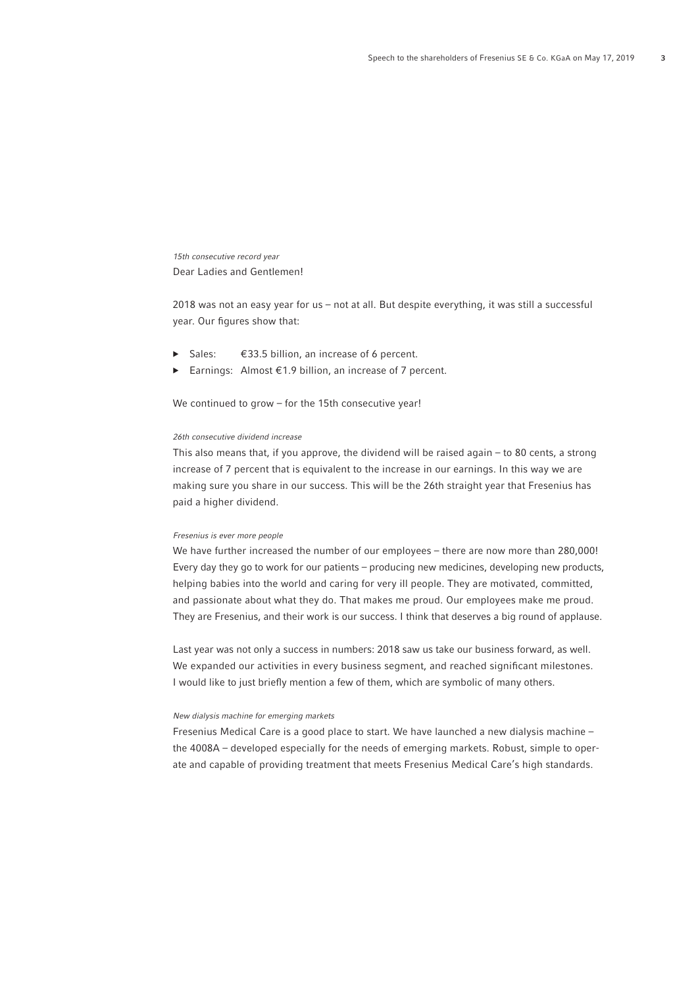*15th consecutive record year* Dear Ladies and Gentlemen!

2018 was not an easy year for us – not at all. But despite everything, it was still a successful year. Our figures show that:

- Sales:  $€33.5$  billion, an increase of 6 percent.
- Earnings: Almost  $E$ 1.9 billion, an increase of 7 percent.

We continued to grow – for the 15th consecutive year!

## *26th consecutive dividend increase*

This also means that, if you approve, the dividend will be raised again – to 80 cents, a strong increase of 7 percent that is equivalent to the increase in our earnings. In this way we are making sure you share in our success. This will be the 26th straight year that Fresenius has paid a higher dividend.

## *Fresenius is ever more people*

We have further increased the number of our employees – there are now more than 280,000! Every day they go to work for our patients – producing new medicines, developing new products, helping babies into the world and caring for very ill people. They are motivated, committed, and passionate about what they do. That makes me proud. Our employees make me proud. They are Fresenius, and their work is our success. I think that deserves a big round of applause.

Last year was not only a success in numbers: 2018 saw us take our business forward, as well. We expanded our activities in every business segment, and reached significant milestones. I would like to just briefly mention a few of them, which are symbolic of many others.

### *New dialysis machine for emerging markets*

Fresenius Medical Care is a good place to start. We have launched a new dialysis machine – the 4008A – developed especially for the needs of emerging markets. Robust, simple to operate and capable of providing treatment that meets Fresenius Medical Care's high standards.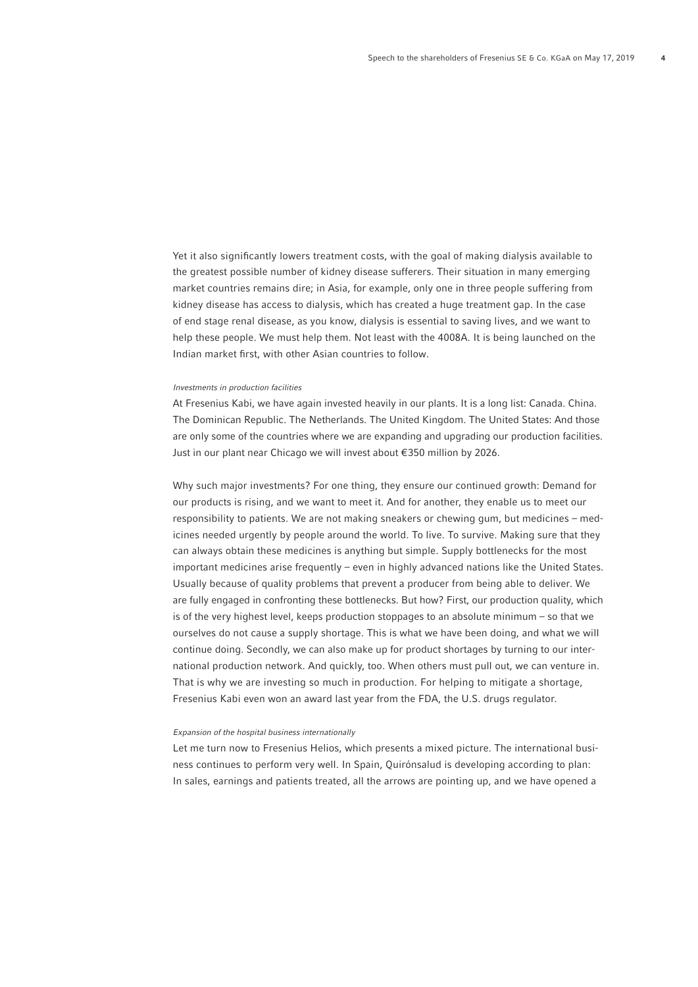Yet it also significantly lowers treatment costs, with the goal of making dialysis available to the greatest possible number of kidney disease sufferers. Their situation in many emerging market countries remains dire; in Asia, for example, only one in three people suffering from kidney disease has access to dialysis, which has created a huge treatment gap. In the case of end stage renal disease, as you know, dialysis is essential to saving lives, and we want to help these people. We must help them. Not least with the 4008A. It is being launched on the Indian market first, with other Asian countries to follow.

#### *Investments in production facilities*

At Fresenius Kabi, we have again invested heavily in our plants. It is a long list: Canada. China. The Dominican Republic. The Netherlands. The United Kingdom. The United States: And those are only some of the countries where we are expanding and upgrading our production facilities. Just in our plant near Chicago we will invest about € 350 million by 2026.

Why such major investments? For one thing, they ensure our continued growth: Demand for our products is rising, and we want to meet it. And for another, they enable us to meet our responsibility to patients. We are not making sneakers or chewing gum, but medicines – medicines needed urgently by people around the world. To live. To survive. Making sure that they can always obtain these medicines is anything but simple. Supply bottlenecks for the most important medicines arise frequently – even in highly advanced nations like the United States. Usually because of quality problems that prevent a producer from being able to deliver. We are fully engaged in confronting these bottlenecks. But how? First, our production quality, which is of the very highest level, keeps production stoppages to an absolute minimum – so that we ourselves do not cause a supply shortage. This is what we have been doing, and what we will continue doing. Secondly, we can also make up for product shortages by turning to our international production network. And quickly, too. When others must pull out, we can venture in. That is why we are investing so much in production. For helping to mitigate a shortage, Fresenius Kabi even won an award last year from the FDA, the U.S. drugs regulator.

#### *Expansion of the hospital business internationally*

Let me turn now to Fresenius Helios, which presents a mixed picture. The international business continues to perform very well. In Spain, Quirónsalud is developing according to plan: In sales, earnings and patients treated, all the arrows are pointing up, and we have opened a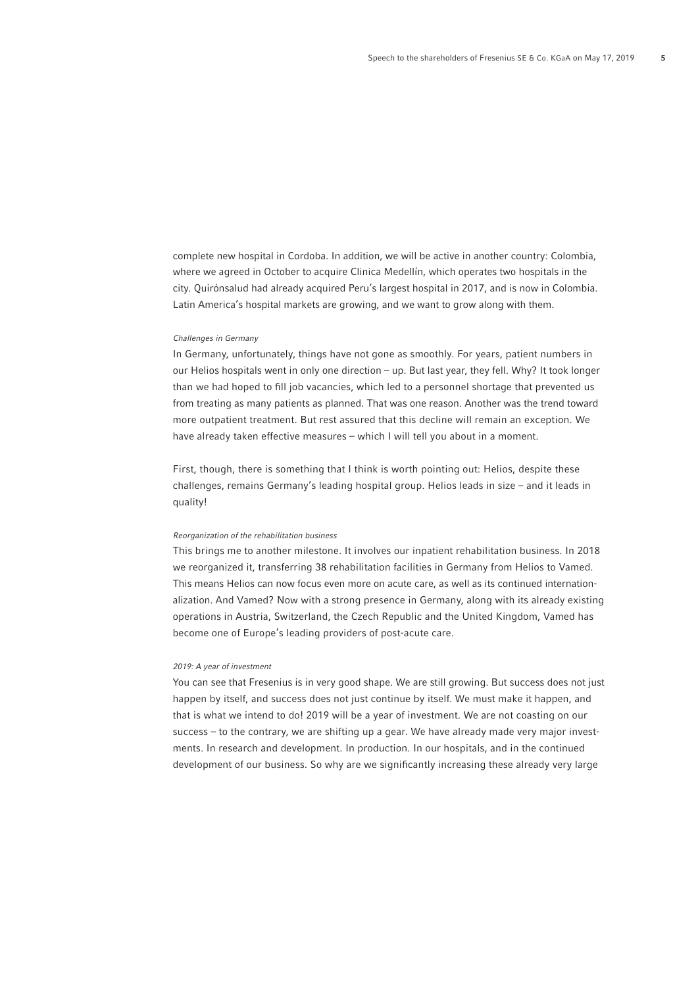complete new hospital in Cordoba. In addition, we will be active in another country: Colombia, where we agreed in October to acquire Clinica Medellín, which operates two hospitals in the city. Quirónsalud had already acquired Peru's largest hospital in 2017, and is now in Colombia. Latin America's hospital markets are growing, and we want to grow along with them.

#### *Challenges in Germany*

In Germany, unfortunately, things have not gone as smoothly. For years, patient numbers in our Helios hospitals went in only one direction – up. But last year, they fell. Why? It took longer than we had hoped to fill job vacancies, which led to a personnel shortage that prevented us from treating as many patients as planned. That was one reason. Another was the trend toward more outpatient treatment. But rest assured that this decline will remain an exception. We have already taken effective measures – which I will tell you about in a moment.

First, though, there is something that I think is worth pointing out: Helios, despite these challenges, remains Germany's leading hospital group. Helios leads in size – and it leads in quality!

#### *Reorganization of the rehabilitation business*

This brings me to another milestone. It involves our inpatient rehabilitation business. In 2018 we reorganized it, transferring 38 rehabilitation facilities in Germany from Helios to Vamed. This means Helios can now focus even more on acute care, as well as its continued internationalization. And Vamed? Now with a strong presence in Germany, along with its already existing operations in Austria, Switzerland, the Czech Republic and the United Kingdom, Vamed has become one of Europe's leading providers of post-acute care.

#### *2019: A year of investment*

You can see that Fresenius is in very good shape. We are still growing. But success does not just happen by itself, and success does not just continue by itself. We must make it happen, and that is what we intend to do! 2019 will be a year of investment. We are not coasting on our success – to the contrary, we are shifting up a gear. We have already made very major investments. In research and development. In production. In our hospitals, and in the continued development of our business. So why are we significantly increasing these already very large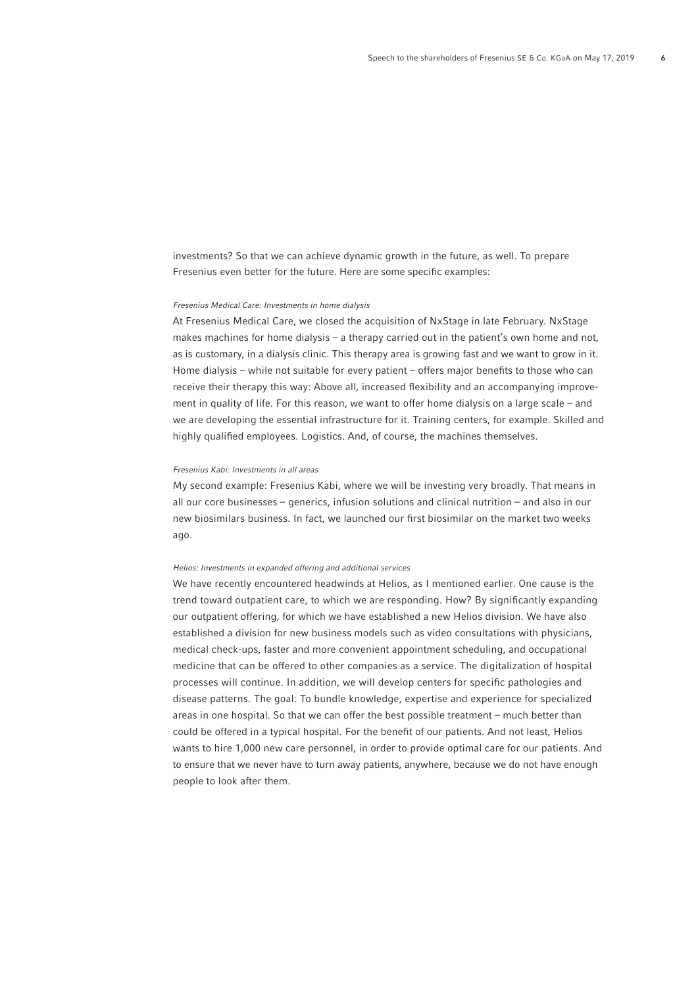investments? So that we can achieve dynamic growth in the future, as well. To prepare Fresenius even better for the future. Here are some specific examples:

#### *Fresenius Medical Care: Investments in home dialysis*

At Fresenius Medical Care, we closed the acquisition of NxStage in late February. NxStage makes machines for home dialysis – a therapy carried out in the patient's own home and not, as is customary, in a dialysis clinic. This therapy area is growing fast and we want to grow in it. Home dialysis – while not suitable for every patient – offers major benefits to those who can receive their therapy this way: Above all, increased flexibility and an accompanying improvement in quality of life. For this reason, we want to offer home dialysis on a large scale – and we are developing the essential infrastructure for it. Training centers, for example. Skilled and highly qualified employees. Logistics. And, of course, the machines themselves.

#### *Fresenius Kabi: Investments in all areas*

My second example: Fresenius Kabi, where we will be investing very broadly. That means in all our core businesses – generics, infusion solutions and clinical nutrition – and also in our new biosimilars business. In fact, we launched our first biosimilar on the market two weeks ago.

#### *Helios: Investments in expanded offering and additional services*

We have recently encountered headwinds at Helios, as I mentioned earlier. One cause is the trend toward outpatient care, to which we are responding. How? By significantly expanding our outpatient offering, for which we have established a new Helios division. We have also established a division for new business models such as video consultations with physicians, medical check-ups, faster and more convenient appointment scheduling, and occupational medicine that can be offered to other companies as a service. The digitalization of hospital processes will continue. In addition, we will develop centers for specific pathologies and disease patterns. The goal: To bundle knowledge, expertise and experience for specialized areas in one hospital. So that we can offer the best possible treatment – much better than could be offered in a typical hospital. For the benefit of our patients. And not least, Helios wants to hire 1,000 new care personnel, in order to provide optimal care for our patients. And to ensure that we never have to turn away patients, anywhere, because we do not have enough people to look after them.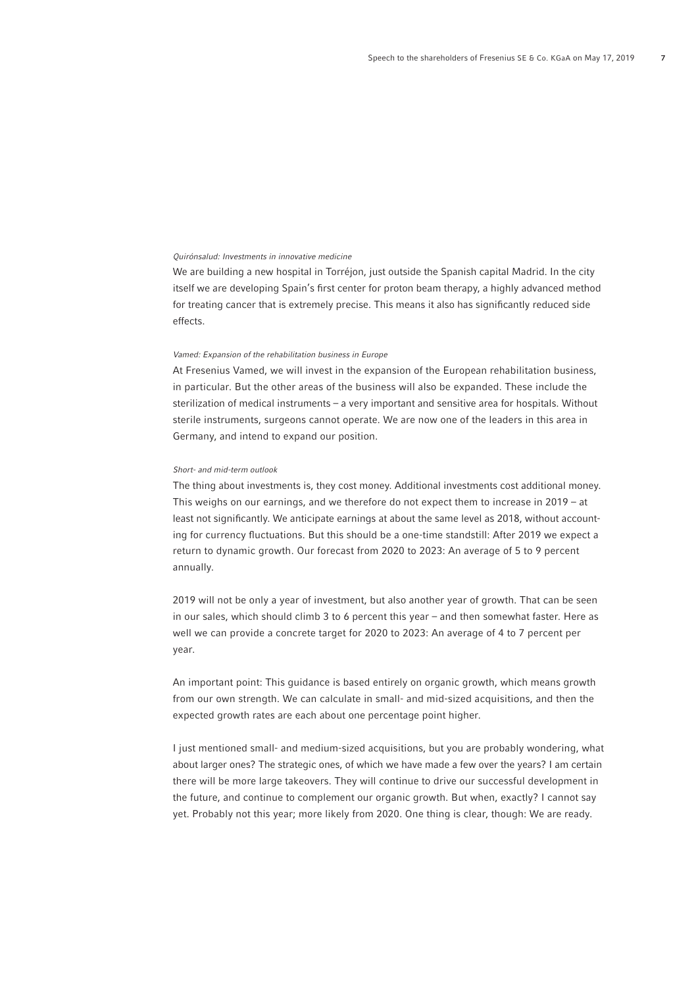#### *Quirónsalud: Investments in innovative medicine*

We are building a new hospital in Torréjon, just outside the Spanish capital Madrid. In the city itself we are developing Spain's first center for proton beam therapy, a highly advanced method for treating cancer that is extremely precise. This means it also has significantly reduced side effects.

#### *Vamed: Expansion of the rehabilitation business in Europe*

At Fresenius Vamed, we will invest in the expansion of the European rehabilitation business, in particular. But the other areas of the business will also be expanded. These include the sterilization of medical instruments – a very important and sensitive area for hospitals. Without sterile instruments, surgeons cannot operate. We are now one of the leaders in this area in Germany, and intend to expand our position.

### *Short- and mid-term outlook*

The thing about investments is, they cost money. Additional investments cost additional money. This weighs on our earnings, and we therefore do not expect them to increase in 2019 – at least not significantly. We anticipate earnings at about the same level as 2018, without accounting for currency fluctuations. But this should be a one-time standstill: After 2019 we expect a return to dynamic growth. Our forecast from 2020 to 2023: An average of 5 to 9 percent annually.

2019 will not be only a year of investment, but also another year of growth. That can be seen in our sales, which should climb 3 to 6 percent this year – and then somewhat faster. Here as well we can provide a concrete target for 2020 to 2023: An average of 4 to 7 percent per year.

An important point: This guidance is based entirely on organic growth, which means growth from our own strength. We can calculate in small- and mid-sized acquisitions, and then the expected growth rates are each about one percentage point higher.

I just mentioned small- and medium-sized acquisitions, but you are probably wondering, what about larger ones? The strategic ones, of which we have made a few over the years? I am certain there will be more large takeovers. They will continue to drive our successful development in the future, and continue to complement our organic growth. But when, exactly? I cannot say yet. Probably not this year; more likely from 2020. One thing is clear, though: We are ready.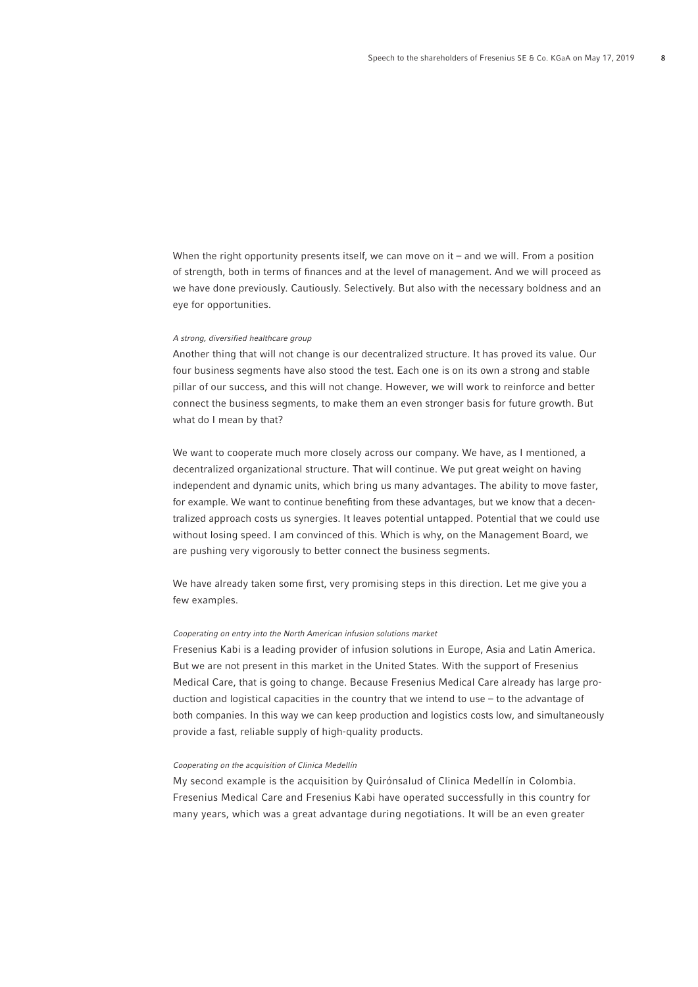When the right opportunity presents itself, we can move on it – and we will. From a position of strength, both in terms of finances and at the level of management. And we will proceed as we have done previously. Cautiously. Selectively. But also with the necessary boldness and an eye for opportunities.

## *A strong, diversified healthcare group*

Another thing that will not change is our decentralized structure. It has proved its value. Our four business segments have also stood the test. Each one is on its own a strong and stable pillar of our success, and this will not change. However, we will work to reinforce and better connect the business segments, to make them an even stronger basis for future growth. But what do I mean by that?

We want to cooperate much more closely across our company. We have, as I mentioned, a decentralized organizational structure. That will continue. We put great weight on having independent and dynamic units, which bring us many advantages. The ability to move faster, for example. We want to continue benefiting from these advantages, but we know that a decentralized approach costs us synergies. It leaves potential untapped. Potential that we could use without losing speed. I am convinced of this. Which is why, on the Management Board, we are pushing very vigorously to better connect the business segments.

We have already taken some first, very promising steps in this direction. Let me give you a few examples.

## *Cooperating on entry into the North American infusion solutions market*

Fresenius Kabi is a leading provider of infusion solutions in Europe, Asia and Latin America. But we are not present in this market in the United States. With the support of Fresenius Medical Care, that is going to change. Because Fresenius Medical Care already has large production and logistical capacities in the country that we intend to use – to the advantage of both companies. In this way we can keep production and logistics costs low, and simultaneously provide a fast, reliable supply of high-quality products.

## *Cooperating on the acquisition of Clinica Medellín*

My second example is the acquisition by Quirónsalud of Clinica Medellín in Colombia. Fresenius Medical Care and Fresenius Kabi have operated successfully in this country for many years, which was a great advantage during negotiations. It will be an even greater